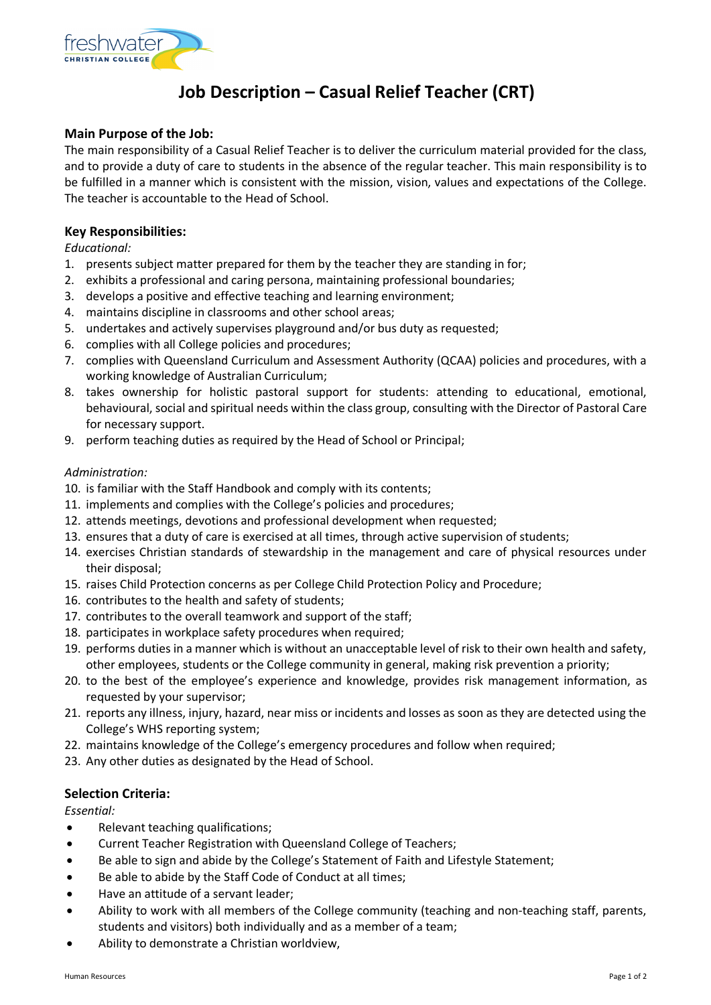

# **Job Description – Casual Relief Teacher (CRT)**

## **Main Purpose of the Job:**

The main responsibility of a Casual Relief Teacher is to deliver the curriculum material provided for the class, and to provide a duty of care to students in the absence of the regular teacher. This main responsibility is to be fulfilled in a manner which is consistent with the mission, vision, values and expectations of the College. The teacher is accountable to the Head of School.

### **Key Responsibilities:**

*Educational:*

- 1. presents subject matter prepared for them by the teacher they are standing in for;
- 2. exhibits a professional and caring persona, maintaining professional boundaries;
- 3. develops a positive and effective teaching and learning environment;
- 4. maintains discipline in classrooms and other school areas;
- 5. undertakes and actively supervises playground and/or bus duty as requested;
- 6. complies with all College policies and procedures;
- 7. complies with Queensland Curriculum and Assessment Authority (QCAA) policies and procedures, with a working knowledge of Australian Curriculum;
- 8. takes ownership for holistic pastoral support for students: attending to educational, emotional, behavioural, social and spiritual needs within the class group, consulting with the Director of Pastoral Care for necessary support.
- 9. perform teaching duties as required by the Head of School or Principal;

#### *Administration:*

- 10. is familiar with the Staff Handbook and comply with its contents;
- 11. implements and complies with the College's policies and procedures;
- 12. attends meetings, devotions and professional development when requested;
- 13. ensures that a duty of care is exercised at all times, through active supervision of students;
- 14. exercises Christian standards of stewardship in the management and care of physical resources under their disposal;
- 15. raises Child Protection concerns as per College Child Protection Policy and Procedure;
- 16. contributes to the health and safety of students;
- 17. contributes to the overall teamwork and support of the staff;
- 18. participates in workplace safety procedures when required;
- 19. performs duties in a manner which is without an unacceptable level of risk to their own health and safety, other employees, students or the College community in general, making risk prevention a priority;
- 20. to the best of the employee's experience and knowledge, provides risk management information, as requested by your supervisor;
- 21. reports any illness, injury, hazard, near miss or incidents and losses as soon as they are detected using the College's WHS reporting system;
- 22. maintains knowledge of the College's emergency procedures and follow when required;
- 23. Any other duties as designated by the Head of School.

## **Selection Criteria:**

*Essential:* 

- Relevant teaching qualifications;
- Current Teacher Registration with Queensland College of Teachers;
- Be able to sign and abide by the College's Statement of Faith and Lifestyle Statement;
- Be able to abide by the Staff Code of Conduct at all times;
- Have an attitude of a servant leader;
- Ability to work with all members of the College community (teaching and non-teaching staff, parents, students and visitors) both individually and as a member of a team;
- Ability to demonstrate a Christian worldview,